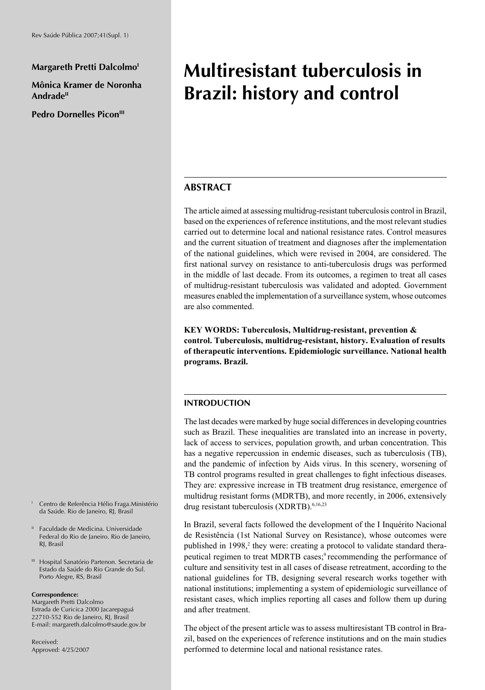# **Margareth Pretti Dalcolmo<sup>1</sup>**

**Mônica Kramer de Noronha**  Andrade<sup>II</sup>

Pedro Dornelles Picon<sup>III</sup>

# **Multiresistant tuberculosis in Brazil: history and control**

# **ABSTRACT**

The article aimed at assessing multidrug-resistant tuberculosis control in Brazil, based on the experiences of reference institutions, and the most relevant studies carried out to determine local and national resistance rates. Control measures and the current situation of treatment and diagnoses after the implementation of the national guidelines, which were revised in 2004, are considered. The first national survey on resistance to anti-tuberculosis drugs was performed in the middle of last decade. From its outcomes, a regimen to treat all cases of multidrug-resistant tuberculosis was validated and adopted. Government measures enabled the implementation of a surveillance system, whose outcomes are also commented.

**KEY WORDS: Tuberculosis, Multidrug-resistant, prevention & control. Tuberculosis, multidrug-resistant, history. Evaluation of results of therapeutic interventions. Epidemiologic surveillance. National health programs. Brazil.**

# **INTRODUCTION**

The last decades were marked by huge social differences in developing countries such as Brazil. These inequalities are translated into an increase in poverty, lack of access to services, population growth, and urban concentration. This has a negative repercussion in endemic diseases, such as tuberculosis (TB), and the pandemic of infection by Aids virus. In this scenery, worsening of TB control programs resulted in great challenges to fight infectious diseases. They are: expressive increase in TB treatment drug resistance, emergence of multidrug resistant forms (MDRTB), and more recently, in 2006, extensively drug resistant tuberculosis (XDRTB).<sup>6,16,23</sup>

In Brazil, several facts followed the development of the I Inquérito Nacional de Resistência (1st National Survey on Resistance), whose outcomes were published in 1998,<sup>2</sup> they were: creating a protocol to validate standard therapeutical regimen to treat MDRTB cases;<sup>9</sup> recommending the performance of culture and sensitivity test in all cases of disease retreatment, according to the national guidelines for TB, designing several research works together with national institutions; implementing a system of epidemiologic surveillance of resistant cases, which implies reporting all cases and follow them up during and after treatment.

The object of the present article was to assess multiresistant TB control in Brazil, based on the experiences of reference institutions and on the main studies performed to determine local and national resistance rates.

- I Centro de Referência Hélio Fraga.Ministério da Saúde. Rio de Janeiro, RJ, Brasil
- <sup>II</sup> Faculdade de Medicina. Universidade Federal do Rio de Janeiro. Rio de Janeiro, RJ, Brasil
- III Hospital Sanatório Partenon. Secretaria de Estado da Saúde do Rio Grande do Sul. Porto Alegre, RS, Brasil

#### **Correspondence:**

Margareth Pretti Dalcolmo Estrada de Curicica 2000 Jacarepaguá 22710-552 Rio de Janeiro, RJ, Brasil E-mail: margareth.dalcolmo@saude.gov.br

Received: Approved: 4/25/2007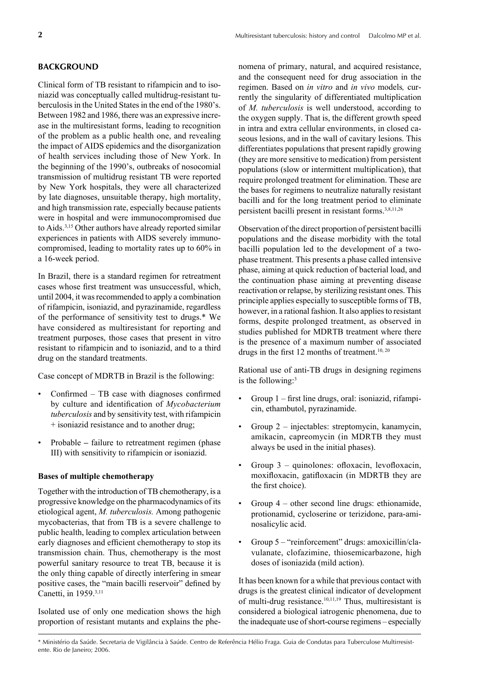### **BACKGROUND**

Clinical form of TB resistant to rifampicin and to isoniazid was conceptually called multidrug-resistant tuberculosis in the United States in the end of the 1980's. Between 1982 and 1986, there was an expressive increase in the multiresistant forms, leading to recognition of the problem as a public health one, and revealing the impact of AIDS epidemics and the disorganization of health services including those of New York. In the beginning of the 1990's, outbreaks of nosocomial transmission of multidrug resistant TB were reported by New York hospitals, they were all characterized by late diagnoses, unsuitable therapy, high mortality, and high transmission rate, especially because patients were in hospital and were immunocompromised due to Aids.3,15 Other authors have already reported similar experiences in patients with AIDS severely immunocompromised, leading to mortality rates up to 60% in a 16-week period.

In Brazil, there is a standard regimen for retreatment cases whose first treatment was unsuccessful, which, until 2004, it was recommended to apply a combination of rifampicin, isoniazid, and pyrazinamide, regardless of the performance of sensitivity test to drugs.\* We have considered as multiresistant for reporting and treatment purposes, those cases that present in vitro resistant to rifampicin and to isoniazid, and to a third drug on the standard treatments.

Case concept of MDRTB in Brazil is the following:

- Confirmed TB case with diagnoses confirmed by culture and identification of *Mycobacterium tuberculosis* and by sensitivity test, with rifampicin + isoniazid resistance and to another drug;
- Probable **–** failure to retreatment regimen (phase III) with sensitivity to rifampicin or isoniazid.

## **Bases of multiple chemotherapy**

Together with the introduction of TB chemotherapy, is a progressive knowledge on the pharmacodynamics of its etiological agent, *M. tuberculosis.* Among pathogenic mycobacterias, that from TB is a severe challenge to public health, leading to complex articulation between early diagnoses and efficient chemotherapy to stop its transmission chain. Thus, chemotherapy is the most powerful sanitary resource to treat TB, because it is the only thing capable of directly interfering in smear positive cases, the "main bacilli reservoir" defined by Canetti, in 1959.3,11

Isolated use of only one medication shows the high proportion of resistant mutants and explains the phenomena of primary, natural, and acquired resistance, and the consequent need for drug association in the regimen. Based on *in vitro* and *in vivo* models*,* currently the singularity of differentiated multiplication of *M. tuberculosis* is well understood, according to the oxygen supply. That is, the different growth speed in intra and extra cellular environments, in closed caseous lesions, and in the wall of cavitary lesions. This differentiates populations that present rapidly growing (they are more sensitive to medication) from persistent populations (slow or intermittent multiplication), that require prolonged treatment for elimination. These are the bases for regimens to neutralize naturally resistant bacilli and for the long treatment period to eliminate persistent bacilli present in resistant forms.3,8,11,26

Observation of the direct proportion of persistent bacilli populations and the disease morbidity with the total bacilli population led to the development of a twophase treatment. This presents a phase called intensive phase, aiming at quick reduction of bacterial load, and the continuation phase aiming at preventing disease reactivation or relapse, by sterilizing resistant ones. This principle applies especially to susceptible forms of TB, however, in a rational fashion. It also applies to resistant forms, despite prolonged treatment, as observed in studies published for MDRTB treatment where there is the presence of a maximum number of associated drugs in the first 12 months of treatment.<sup>10, 20</sup>

Rational use of anti-TB drugs in designing regimens is the following: $3$ 

- Group  $1$  first line drugs, oral: isoniazid, rifampicin, ethambutol, pyrazinamide.
- Group 2 injectables: streptomycin, kanamycin, amikacin, capreomycin (in MDRTB they must always be used in the initial phases).
- Group  $3$  quinolones: ofloxacin, levofloxacin, moxifloxacin, gatifloxacin (in MDRTB they are the first choice).
- Group  $4$  other second line drugs: ethionamide, protionamid, cycloserine or terizidone, para-aminosalicylic acid.
- Group 5 "reinforcement" drugs: amoxicillin/clavulanate, clofazimine, thiosemicarbazone, high doses of isoniazida (mild action).

It has been known for a while that previous contact with drugs is the greatest clinical indicator of development of multi-drug resistance. $10,11,19}$  Thus, multiresistant is considered a biological iatrogenic phenomena, due to the inadequate use of short-course regimens – especially

<sup>\*</sup> Ministério da Saúde. Secretaria de Vigilância à Saúde. Centro de Referência Hélio Fraga. Guia de Condutas para Tuberculose Multirresistente. Rio de Janeiro; 2006.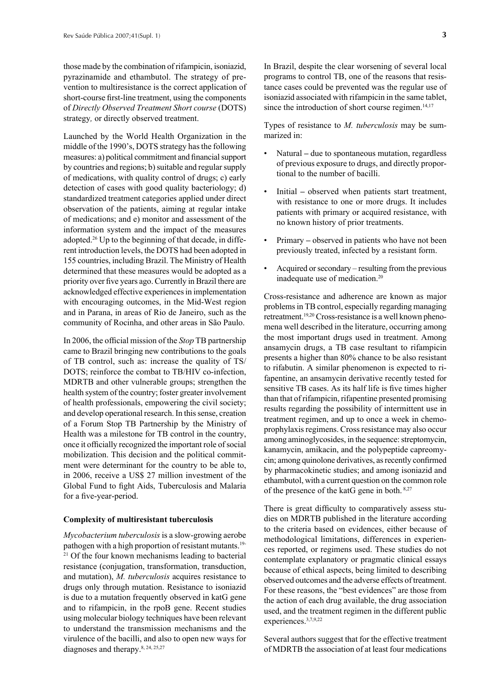those made by the combination of rifampicin, isoniazid, pyrazinamide and ethambutol. The strategy of prevention to multiresistance is the correct application of short-course first-line treatment, using the components of *Directly Observed Treatment Short course* (DOTS) strategy*,* or directly observed treatment.

Launched by the World Health Organization in the middle of the 1990's, DOTS strategy has the following measures: a) political commitment and financial support by countries and regions; b) suitable and regular supply of medications, with quality control of drugs; c) early detection of cases with good quality bacteriology; d) standardized treatment categories applied under direct observation of the patients, aiming at regular intake of medications; and e) monitor and assessment of the information system and the impact of the measures adopted.26 Up to the beginning of that decade, in different introduction levels, the DOTS had been adopted in 155 countries, including Brazil. The Ministry of Health determined that these measures would be adopted as a priority over five years ago. Currently in Brazil there are acknowledged effective experiences in implementation with encouraging outcomes, in the Mid-West region and in Parana, in areas of Rio de Janeiro, such as the community of Rocinha, and other areas in São Paulo.

In 2006, the official mission of the *Stop* TB partnership came to Brazil bringing new contributions to the goals of TB control, such as: increase the quality of TS/ DOTS; reinforce the combat to TB/HIV co-infection, MDRTB and other vulnerable groups; strengthen the health system of the country; foster greater involvement of health professionals, empowering the civil society; and develop operational research. In this sense, creation of a Forum Stop TB Partnership by the Ministry of Health was a milestone for TB control in the country, once it officially recognized the important role of social mobilization. This decision and the political commitment were determinant for the country to be able to, in 2006, receive a US\$ 27 million investment of the Global Fund to fight Aids, Tuberculosis and Malaria for a five-year-period.

#### **Complexity of multiresistant tuberculosis**

*Mycobacterium tuberculosis* is a slow-growing aerobe pathogen with a high proportion of resistant mutants.<sup>19-</sup> <sup>21</sup> Of the four known mechanisms leading to bacterial resistance (conjugation, transformation, transduction, and mutation), *M. tuberculosis* acquires resistance to drugs only through mutation. Resistance to isoniazid is due to a mutation frequently observed in katG gene and to rifampicin, in the rpoB gene. Recent studies using molecular biology techniques have been relevant to understand the transmission mechanisms and the virulence of the bacilli, and also to open new ways for diagnoses and therapy.8, 24, 25,27

In Brazil, despite the clear worsening of several local programs to control TB, one of the reasons that resistance cases could be prevented was the regular use of isoniazid associated with rifampicin in the same tablet, since the introduction of short course regimen. $14,17$ 

Types of resistance to *M. tuberculosis* may be summarized in:

- Naturaldue to spontaneous mutation, regardless of previous exposure to drugs, and directly proportional to the number of bacilli.
- Initialobserved when patients start treatment, with resistance to one or more drugs. It includes patients with primary or acquired resistance, with no known history of prior treatments.
- Primary **–** observed in patients who have not been previously treated, infected by a resistant form.
- Acquired or secondary resulting from the previous inadequate use of medication.20

Cross-resistance and adherence are known as major problems in TB control, especially regarding managing retreatment.<sup>19,20</sup> Cross-resistance is a well known phenomena well described in the literature, occurring among the most important drugs used in treatment. Among ansamycin drugs, a TB case resultant to rifampicin presents a higher than 80% chance to be also resistant to rifabutin. A similar phenomenon is expected to rifapentine, an ansamycin derivative recently tested for sensitive TB cases. As its half life is five times higher than that of rifampicin, rifapentine presented promising results regarding the possibility of intermittent use in treatment regimen, and up to once a week in chemoprophylaxis regimens. Cross resistance may also occur among aminoglycosides, in the sequence: streptomycin, kanamycin, amikacin, and the polypeptide capreomycin; among quinolone derivatives, as recently confirmed by pharmacokinetic studies; and among isoniazid and ethambutol, with a current question on the common role of the presence of the katG gene in both. 8,27

There is great difficulty to comparatively assess studies on MDRTB published in the literature according to the criteria based on evidences, either because of methodological limitations, differences in experiences reported, or regimens used. These studies do not contemplate explanatory or pragmatic clinical essays because of ethical aspects, being limited to describing observed outcomes and the adverse effects of treatment. For these reasons, the "best evidences" are those from the action of each drug available, the drug association used, and the treatment regimen in the different public experiences.3,7,9,22

Several authors suggest that for the effective treatment of MDRTB the association of at least four medications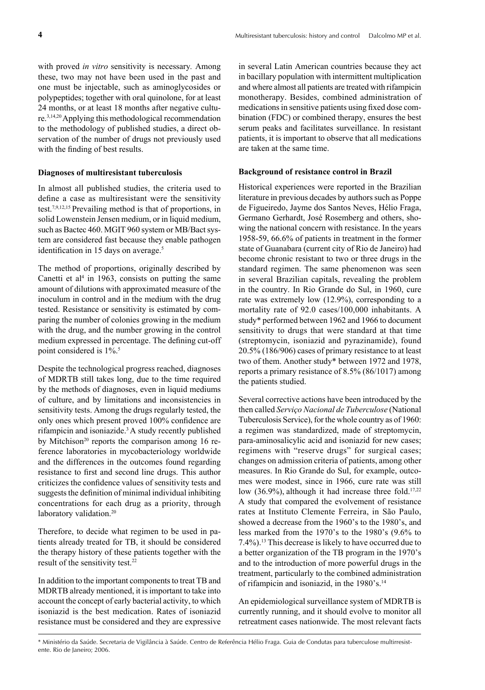with proved *in vitro* sensitivity is necessary*.* Among these, two may not have been used in the past and one must be injectable, such as aminoglycosides or polypeptides; together with oral quinolone, for at least 24 months, or at least 18 months after negative culture.3,14,20 Applying this methodological recommendation to the methodology of published studies, a direct observation of the number of drugs not previously used with the finding of best results.

## **Diagnoses of multiresistant tuberculosis**

In almost all published studies, the criteria used to define a case as multiresistant were the sensitivity test.7,9,12,15 Prevailing method is that of proportions, in solid Lowenstein Jensen medium, or in liquid medium, such as Bactec 460. MGIT 960 system or MB/Bact system are considered fast because they enable pathogen identification in 15 days on average.<sup>5</sup>

The method of proportions, originally described by Canetti et al<sup>4</sup> in 1963, consists on putting the same amount of dilutions with approximated measure of the inoculum in control and in the medium with the drug tested. Resistance or sensitivity is estimated by comparing the number of colonies growing in the medium with the drug, and the number growing in the control medium expressed in percentage. The defining cut-off point considered is  $1\%$ .<sup>5</sup>

Despite the technological progress reached, diagnoses of MDRTB still takes long, due to the time required by the methods of diagnoses, even in liquid mediums of culture, and by limitations and inconsistencies in sensitivity tests. Among the drugs regularly tested, the only ones which present proved 100% confidence are rifampicin and isoniazide.3 A study recently published by Mitchison<sup>20</sup> reports the comparison among 16 reference laboratories in mycobacteriology worldwide and the differences in the outcomes found regarding resistance to first and second line drugs. This author criticizes the confidence values of sensitivity tests and suggests the definition of minimal individual inhibiting concentrations for each drug as a priority, through laboratory validation.<sup>20</sup>

Therefore, to decide what regimen to be used in patients already treated for TB, it should be considered the therapy history of these patients together with the result of the sensitivity test.<sup>22</sup>

In addition to the important components to treat TB and MDRTB already mentioned, it is important to take into account the concept of early bacterial activity, to which isoniazid is the best medication. Rates of isoniazid resistance must be considered and they are expressive

in several Latin American countries because they act in bacillary population with intermittent multiplication and where almost all patients are treated with rifampicin monotherapy. Besides, combined administration of medications in sensitive patients using fixed dose combination (FDC) or combined therapy, ensures the best serum peaks and facilitates surveillance. In resistant patients, it is important to observe that all medications are taken at the same time.

#### **Background of resistance control in Brazil**

Historical experiences were reported in the Brazilian literature in previous decades by authors such as Poppe de Figueiredo, Jayme dos Santos Neves, Hélio Fraga, Germano Gerhardt, José Rosemberg and others, showing the national concern with resistance. In the years 1958-59, 66.6% of patients in treatment in the former state of Guanabara (current city of Rio de Janeiro) had become chronic resistant to two or three drugs in the standard regimen. The same phenomenon was seen in several Brazilian capitals, revealing the problem in the country. In Rio Grande do Sul, in 1960, cure rate was extremely low (12.9%), corresponding to a mortality rate of 92.0 cases/100,000 inhabitants. A study\* performed between 1962 and 1966 to document sensitivity to drugs that were standard at that time (streptomycin, isoniazid and pyrazinamide), found 20.5% (186/906) cases of primary resistance to at least two of them. Another study\* between 1972 and 1978, reports a primary resistance of 8.5% (86/1017) among the patients studied.

Several corrective actions have been introduced by the then called *Serviço Nacional de Tuberculose* (National Tuberculosis Service), for the whole country as of 1960: a regimen was standardized, made of streptomycin, para-aminosalicylic acid and isoniazid for new cases; regimens with "reserve drugs" for surgical cases; changes on admission criteria of patients, among other measures. In Rio Grande do Sul, for example, outcomes were modest, since in 1966, cure rate was still low (36.9%), although it had increase three fold.<sup>17,22</sup> A study that compared the evolvement of resistance rates at Instituto Clemente Ferreira, in São Paulo, showed a decrease from the 1960's to the 1980's, and less marked from the 1970's to the 1980's (9.6% to 7.4%).13 This decrease is likely to have occurred due to a better organization of the TB program in the 1970's and to the introduction of more powerful drugs in the treatment, particularly to the combined administration of rifampicin and isoniazid, in the 1980's.14

An epidemiological surveillance system of MDRTB is currently running, and it should evolve to monitor all retreatment cases nationwide. The most relevant facts

<sup>\*</sup> Ministério da Saúde. Secretaria de Vigilância à Saúde. Centro de Referência Hélio Fraga. Guia de Condutas para tuberculose multirresistente. Rio de Janeiro; 2006.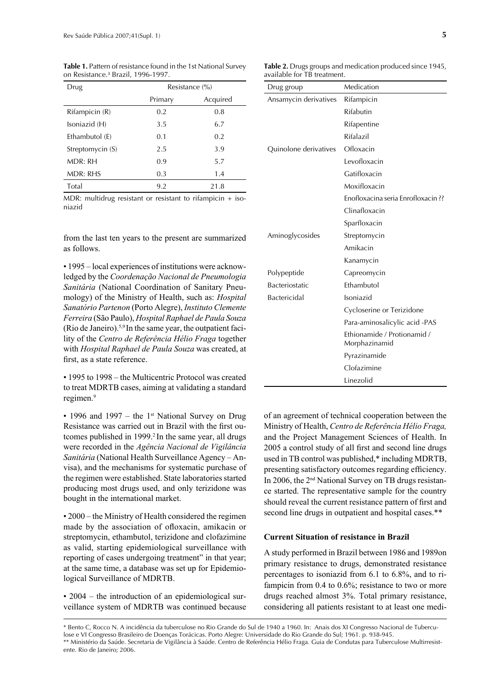**Table 1.** Pattern of resistance found in the 1st National Survey on Resistance.³ Brazil, 1996-1997.

| Drug             | Resistance $(\% )$ |          |  |
|------------------|--------------------|----------|--|
|                  | Primary            | Acquired |  |
| Rifampicin(R)    | 0.2                | 0.8      |  |
| Isoniazid (H)    | 3.5                | 6.7      |  |
| Ethambutol (E)   | 0.1                | 0.2      |  |
| Streptomycin (S) | 2.5                | 3.9      |  |
| MDR: RH          | 0.9                | 5.7      |  |
| <b>MDR: RHS</b>  | 0.3                | 1.4      |  |
| Total            | 9.2                | 21.8     |  |

MDR: multidrug resistant or resistant to rifampicin  $+$  isoniazid

from the last ten years to the present are summarized as follows.

• 1995 – local experiences of institutions were acknowledged by the *Coordenação Nacional de Pneumologia Sanitária* (National Coordination of Sanitary Pneumology) of the Ministry of Health, such as: *Hospital Sanatório Partenon* (Porto Alegre), *Instituto Clemente Ferreira* (São Paulo), *Hospital Raphael de Paula Souza*  (Rio de Janeiro).<sup>5,9</sup> In the same year, the outpatient facility of the *Centro de Referência Hélio Fraga* together with *Hospital Raphael de Paula Souza* was created, at first, as a state reference.

• 1995 to 1998 – the Multicentric Protocol was created to treat MDRTB cases, aiming at validating a standard regimen.<sup>9</sup>

• 1996 and 1997 – the 1<sup>st</sup> National Survey on Drug Resistance was carried out in Brazil with the first outcomes published in 1999.<sup>2</sup> In the same year, all drugs were recorded in the *Agência Nacional de Vigilância Sanitária* (National Health Surveillance Agency – Anvisa), and the mechanisms for systematic purchase of the regimen were established. State laboratories started producing most drugs used, and only terizidone was bought in the international market.

• 2000 – the Ministry of Health considered the regimen made by the association of ofloxacin, amikacin or streptomycin, ethambutol, terizidone and clofazimine as valid, starting epidemiological surveillance with reporting of cases undergoing treatment" in that year; at the same time, a database was set up for Epidemiological Surveillance of MDRTB.

• 2004 – the introduction of an epidemiological surveillance system of MDRTB was continued because

**Table 2.** Drugs groups and medication produced since 1945, available for TB treatment.

| Drug group            | Medication                                   |  |
|-----------------------|----------------------------------------------|--|
| Ansamycin derivatives | Rifampicin                                   |  |
|                       | Rifabutin                                    |  |
|                       | Rifapentine                                  |  |
|                       | Rifalazil                                    |  |
| Quinolone derivatives | Ofloxacin                                    |  |
|                       | Levofloxacin                                 |  |
|                       | Gatifloxacin                                 |  |
|                       | Moxifloxacin                                 |  |
|                       | Enofloxacina seria Enrofloxacin ??           |  |
|                       | Clinafloxacin                                |  |
|                       | Sparfloxacin                                 |  |
| Aminoglycosides       | Streptomycin                                 |  |
|                       | Amikacin                                     |  |
|                       | Kanamycin                                    |  |
| Polypeptide           | Capreomycin                                  |  |
| <b>Bacteriostatic</b> | Ethambutol                                   |  |
| Bactericidal          | Isoniazid                                    |  |
|                       | Cycloserine or Terizidone                    |  |
|                       | Para-aminosalicylic acid -PAS                |  |
|                       | Ethionamide / Protionamid /<br>Morphazinamid |  |
|                       | Pyrazinamide                                 |  |
|                       | Clofazimine                                  |  |
|                       | Linezolid                                    |  |

of an agreement of technical cooperation between the Ministry of Health, *Centro de Referência Hélio Fraga,* and the Project Management Sciences of Health. In 2005 a control study of all first and second line drugs used in TB control was published,\* including MDRTB, presenting satisfactory outcomes regarding efficiency. In 2006, the 2nd National Survey on TB drugs resistance started. The representative sample for the country should reveal the current resistance pattern of first and second line drugs in outpatient and hospital cases.\*\*

## **Current Situation of resistance in Brazil**

A study performed in Brazil between 1986 and 1989on primary resistance to drugs, demonstrated resistance percentages to isoniazid from 6.1 to 6.8%, and to rifampicin from 0.4 to 0.6%; resistance to two or more drugs reached almost 3%. Total primary resistance, considering all patients resistant to at least one medi-

<sup>\*</sup> Bento C, Rocco N. A incidência da tuberculose no Rio Grande do Sul de 1940 a 1960. In: Anais dos XI Congresso Nacional de Tuberculose e VI Congresso Brasileiro de Doenças Torácicas. Porto Alegre: Universidade do Rio Grande do Sul; 1961. p. 938-945. \*\* Ministério da Saúde. Secretaria de Vigilância à Saúde. Centro de Referência Hélio Fraga. Guia de Condutas para Tuberculose Multirresistente. Rio de Janeiro; 2006.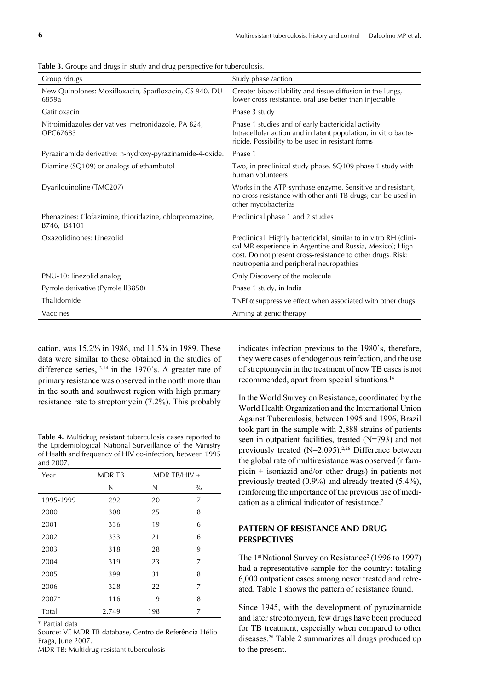| Group /drugs                                                          | Study phase /action                                                                                                                                                                                                                    |
|-----------------------------------------------------------------------|----------------------------------------------------------------------------------------------------------------------------------------------------------------------------------------------------------------------------------------|
| New Quinolones: Moxifloxacin, Sparfloxacin, CS 940, DU<br>6859a       | Greater bioavailability and tissue diffusion in the lungs,<br>lower cross resistance, oral use better than injectable                                                                                                                  |
| Gatifloxacin                                                          | Phase 3 study                                                                                                                                                                                                                          |
| Nitroimidazoles derivatives: metronidazole, PA 824,<br>OPC67683       | Phase 1 studies and of early bactericidal activity<br>Intracellular action and in latent population, in vitro bacte-<br>ricide. Possibility to be used in resistant forms                                                              |
| Pyrazinamide derivative: n-hydroxy-pyrazinamide-4-oxide.              | Phase 1                                                                                                                                                                                                                                |
| Diamine (SQ109) or analogs of ethambutol                              | Two, in preclinical study phase. SQ109 phase 1 study with<br>human volunteers                                                                                                                                                          |
| Dyarilquinoline (TMC207)                                              | Works in the ATP-synthase enzyme. Sensitive and resistant,<br>no cross-resistance with other anti-TB drugs; can be used in<br>other mycobacterias                                                                                      |
| Phenazines: Clofazimine, thioridazine, chlorpromazine,<br>B746, B4101 | Preclinical phase 1 and 2 studies                                                                                                                                                                                                      |
| Oxazolidinones: Linezolid                                             | Preclinical. Highly bactericidal, similar to in vitro RH (clini-<br>cal MR experience in Argentine and Russia, Mexico); High<br>cost. Do not present cross-resistance to other drugs. Risk:<br>neutropenia and peripheral neuropathies |
| PNU-10: linezolid analog                                              | Only Discovery of the molecule                                                                                                                                                                                                         |
| Pyrrole derivative (Pyrrole II3858)                                   | Phase 1 study, in India                                                                                                                                                                                                                |
| Thalidomide                                                           | TNFf $\alpha$ suppressive effect when associated with other drugs                                                                                                                                                                      |
| Vaccines                                                              | Aiming at genic therapy                                                                                                                                                                                                                |

**Table 3.** Groups and drugs in study and drug perspective for tuberculosis.

cation, was 15.2% in 1986, and 11.5% in 1989. These data were similar to those obtained in the studies of difference series,<sup>13,14</sup> in the 1970's. A greater rate of primary resistance was observed in the north more than in the south and southwest region with high primary resistance rate to streptomycin (7.2%). This probably

**Table 4.** Multidrug resistant tuberculosis cases reported to the Epidemiological National Surveillance of the Ministry of Health and frequency of HIV co-infection, between 1995 and 2007.

| Year      | <b>MDR TB</b> |     | MDR TB/HIV $+$ |  |
|-----------|---------------|-----|----------------|--|
|           | N             | Ν   | $\frac{0}{0}$  |  |
| 1995-1999 | 292           | 20  | 7              |  |
| 2000      | 308           | 25  | 8              |  |
| 2001      | 336           | 19  | 6              |  |
| 2002      | 333           | 21  | 6              |  |
| 2003      | 318           | 28  | 9              |  |
| 2004      | 319           | 23  | 7              |  |
| 2005      | 399           | 31  | 8              |  |
| 2006      | 328           | 22  | 7              |  |
| 2007*     | 116           | 9   | 8              |  |
| Total     | 2.749         | 198 | 7              |  |

\* Partial data

Source: VE MDR TB database, Centro de Referência Hélio Fraga, June 2007.

MDR TB: Multidrug resistant tuberculosis

indicates infection previous to the 1980's, therefore, they were cases of endogenous reinfection, and the use of streptomycin in the treatment of new TB cases is not recommended, apart from special situations.14

In the World Survey on Resistance, coordinated by the World Health Organization and the International Union Against Tuberculosis, between 1995 and 1996, Brazil took part in the sample with 2,888 strains of patients seen in outpatient facilities, treated (N=793) and not previously treated (N=2.095).<sup>2,26</sup> Difference between the global rate of multiresistance was observed (rifampicin + isoniazid and/or other drugs) in patients not previously treated (0.9%) and already treated (5.4%), reinforcing the importance of the previous use of medication as a clinical indicator of resistance.2

# **PATTERN OF RESISTANCE AND DRUG PERSPECTIVES**

The 1<sup>st</sup> National Survey on Resistance<sup>2</sup> (1996 to 1997) had a representative sample for the country: totaling 6,000 outpatient cases among never treated and retreated. Table 1 shows the pattern of resistance found.

Since 1945, with the development of pyrazinamide and later streptomycin, few drugs have been produced for TB treatment, especially when compared to other diseases.26 Table 2 summarizes all drugs produced up to the present.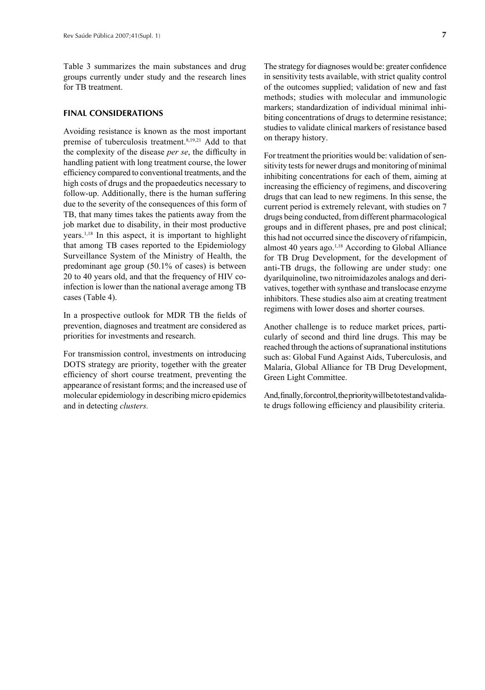Table 3 summarizes the main substances and drug groups currently under study and the research lines for TB treatment.

## **FINAL CONSIDERATIONS**

Avoiding resistance is known as the most important premise of tuberculosis treatment.<sup>8,19,21</sup> Add to that the complexity of the disease *per se*, the difficulty in handling patient with long treatment course, the lower efficiency compared to conventional treatments, and the high costs of drugs and the propaedeutics necessary to follow-up. Additionally, there is the human suffering due to the severity of the consequences of this form of TB, that many times takes the patients away from the job market due to disability, in their most productive years.1,18 In this aspect, it is important to highlight that among TB cases reported to the Epidemiology Surveillance System of the Ministry of Health, the predominant age group (50.1% of cases) is between 20 to 40 years old, and that the frequency of HIV coinfection is lower than the national average among TB cases (Table 4).

In a prospective outlook for MDR TB the fields of prevention, diagnoses and treatment are considered as priorities for investments and research.

For transmission control, investments on introducing DOTS strategy are priority, together with the greater efficiency of short course treatment, preventing the appearance of resistant forms; and the increased use of molecular epidemiology in describing micro epidemics and in detecting *clusters.*

The strategy for diagnoses would be: greater confidence in sensitivity tests available, with strict quality control of the outcomes supplied; validation of new and fast methods; studies with molecular and immunologic markers; standardization of individual minimal inhibiting concentrations of drugs to determine resistance; studies to validate clinical markers of resistance based on therapy history.

For treatment the priorities would be: validation of sensitivity tests for newer drugs and monitoring of minimal inhibiting concentrations for each of them, aiming at increasing the efficiency of regimens, and discovering drugs that can lead to new regimens. In this sense, the current period is extremely relevant, with studies on 7 drugs being conducted, from different pharmacological groups and in different phases, pre and post clinical; this had not occurred since the discovery of rifampicin, almost 40 years ago.1,18 According to Global Alliance for TB Drug Development, for the development of anti-TB drugs, the following are under study: one dyarilquinoline, two nitroimidazoles analogs and derivatives, together with synthase and translocase enzyme inhibitors. These studies also aim at creating treatment regimens with lower doses and shorter courses.

Another challenge is to reduce market prices, particularly of second and third line drugs. This may be reached through the actions of supranational institutions such as: Global Fund Against Aids, Tuberculosis, and Malaria, Global Alliance for TB Drug Development, Green Light Committee.

And, finally, for control, the priority will be to test and validate drugs following efficiency and plausibility criteria.